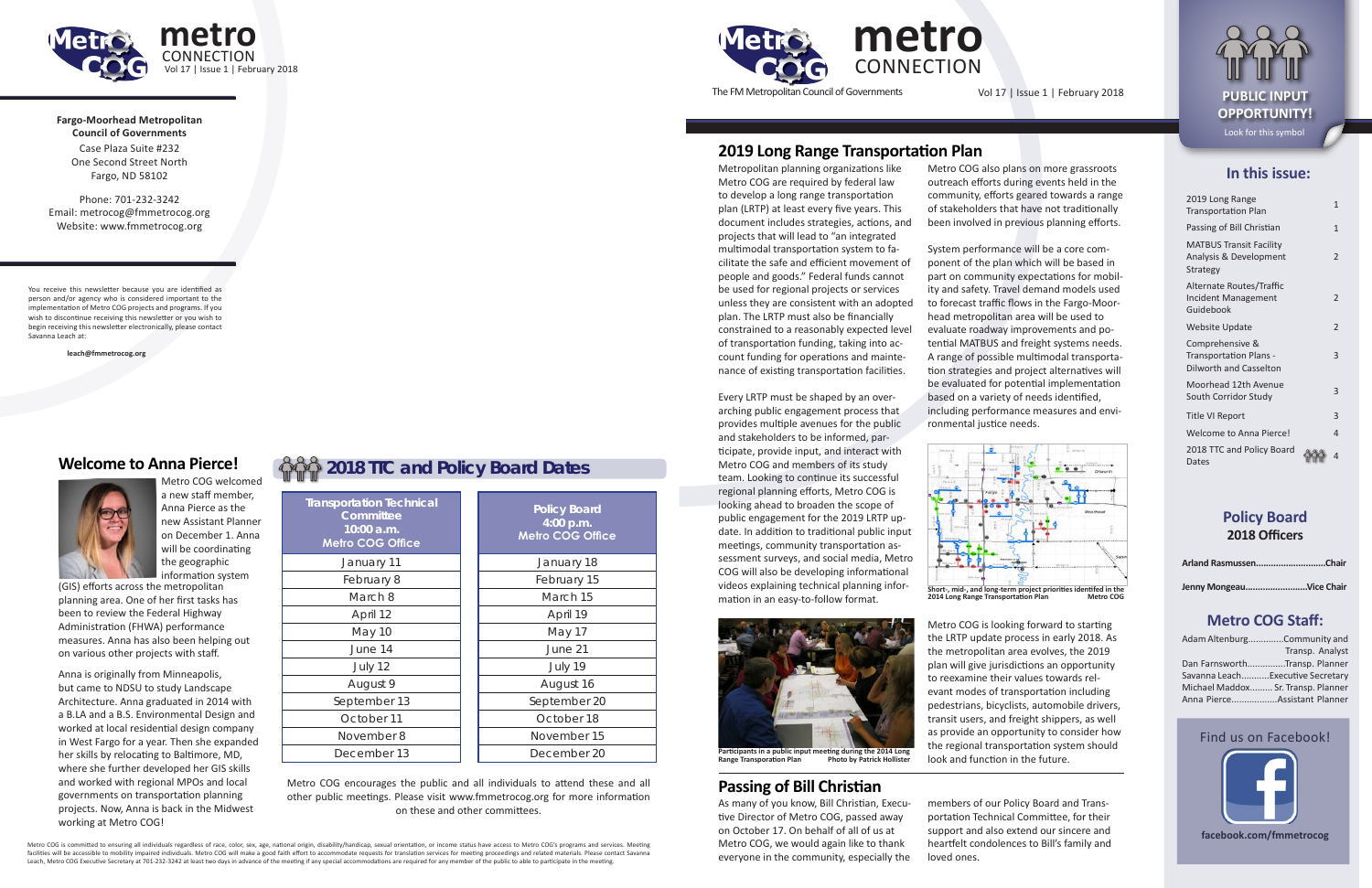**In this issue:**

| 2019 Long Range<br><b>Transportation Plan</b>                                     | 1              |
|-----------------------------------------------------------------------------------|----------------|
| Passing of Bill Christian                                                         | 1              |
| <b>MATBUS Transit Facility</b><br>Analysis & Development<br><b>Strategy</b>       | 2              |
| Alternate Routes/Traffic<br><b>Incident Management</b><br>Guidebook               | $\overline{2}$ |
| <b>Website Update</b>                                                             | $\overline{2}$ |
| Comprehensive &<br><b>Transportation Plans -</b><br><b>Dilworth and Casselton</b> | 3              |
| Moorhead 12th Avenue<br>South Corridor Study                                      | 3              |
| <b>Title VI Report</b>                                                            | 3              |
| <b>Welcome to Anna Pierce!</b>                                                    | 4              |
| 2018 TTC and Policy Board<br>Dates                                                | 4              |

## **Policy Board 2018 Officers**

| Arland RasmussenChair |  |
|-----------------------|--|
|                       |  |

**Jenny Mongeau.........................Vice Chair**

#### **Metro COG Staff:**

| Adam AltenburgCommunity and        |                 |
|------------------------------------|-----------------|
|                                    | Transp. Analyst |
| Dan FarnsworthTransp. Planner      |                 |
| Savanna LeachExecutive Secretary   |                 |
| Michael Maddox Sr. Transp. Planner |                 |
| Anna PierceAssistant Planner       |                 |

Metro COG is committed to ensuring all individuals regardless of race, color, sex, age, national origin, disability/handicap, sexual orientation, or income status have access to Metro COG's programs and services. Meeting facilities will be accessible to mobility impaired individuals. Metro COG will make a good faith effort to accommodate requests for translation services for meeting proceedings and related materials. Please contact Savanna

#### Find us on Facebook!



**facebook.com/fmmetrocog**



The FM Metropolitan Council of Governments Vol 17 | Issue 1 | February 2018 **PUBLIC INPUT** 

**Fargo-Moorhead Metropolitan Council of Governments** Case Plaza Suite #232 One Second Street North

**metro CONNECTION** Vol 17 | Issue 1 | February 2018

Fargo, ND 58102

Phone: 701-232-3242 Email: metrocog@fmmetrocog.org Website: www.fmmetrocog.org

You receive this newsletter because you are identified as person and/or agency who is considered important to the implementation of Metro COG projects and programs. If you wish to discontinue receiving this newsletter or you wish to begin receiving this newsletter electronically, please contact Savanna Leach at:

**leach@fmmetrocog.org**

**OPPORTUNITY!** Look for this symbol

## **2019 Long Range Transportation Plan**

Metro COG welcomed a new staff member, Anna Pierce as the new Assistant Planner on December 1. Anna will be coordinating the geographic

Metropolitan planning organizations like Metro COG are required by federal law to develop a long range transportation plan (LRTP) at least every five years. This document includes strategies, actions, and projects that will lead to "an integrated multimodal transportation system to facilitate the safe and efficient movement of people and goods." Federal funds cannot be used for regional projects or services unless they are consistent with an adopted plan. The LRTP must also be financially constrained to a reasonably expected level of transportation funding, taking into account funding for operations and maintenance of existing transportation facilities.

Every LRTP must be shaped by an overarching public engagement process that provides multiple avenues for the public and stakeholders to be informed, participate, provide input, and interact with Metro COG and members of its study team. Looking to continue its successful regional planning efforts, Metro COG is looking ahead to broaden the scope of public engagement for the 2019 LRTP update. In addition to traditional public input meetings, community transportation assessment surveys, and social media, Metro COG will also be developing informational videos explaining technical planning information in an easy-to-follow format.



Metro COG also plans on more grassroots outreach efforts during events held in the community, efforts geared towards a range of stakeholders that have not traditionally been involved in previous planning efforts.

System performance will be a core component of the plan which will be based in part on community expectations for mobility and safety. Travel demand models used to forecast traffic flows in the Fargo-Moorhead metropolitan area will be used to evaluate roadway improvements and potential MATBUS and freight systems needs. A range of possible multimodal transportation strategies and project alternatives will be evaluated for potential implementation based on a variety of needs identified, including performance measures and environmental justice needs.

information system (GIS) efforts across the metropolitan planning area. One of her first tasks has been to review the Federal Highway Administration (FHWA) performance measures. Anna has also been helping out on various other projects with staff.

Metro COG is looking forward to starting the LRTP update process in early 2018. As the metropolitan area evolves, the 2019 plan will give jurisdictions an opportunity to reexamine their values towards relevant modes of transportation including pedestrians, bicyclists, automobile drivers, transit users, and freight shippers, as well as provide an opportunity to consider how the regional transportation system should look and function in the future.



**2014 Long Range Transportation Plan** 

**Participants in a public input meeting during the 2014 Long Range Transporation Plan Photo by Patrick Hollister**

## **Passing of Bill Christian**

As many of you know, Bill Christian, Executive Director of Metro COG, passed away on October 17. On behalf of all of us at Metro COG, we would again like to thank everyone in the community, especially the

members of our Policy Board and Transportation Technical Committee, for their support and also extend our sincere and heartfelt condolences to Bill's family and

loved ones.

# **2018 TTC and Policy Board Dates**

**Board 4:00 p.m. OG Office** 

| <b>Transportation Technical</b><br>Committee<br>$10:00$ a.m.<br><b>Metro COG Office</b> | <b>Policy Board</b><br>4:00 p.m.<br><b>Metro COG Offic</b> |
|-----------------------------------------------------------------------------------------|------------------------------------------------------------|
| January 11                                                                              | January 18                                                 |
| February 8                                                                              | February 15                                                |
| March 8                                                                                 | March 15                                                   |
| April 12                                                                                | April 19                                                   |
| <b>May 10</b>                                                                           | May 17                                                     |
| June 14                                                                                 | June 21                                                    |
| July 12                                                                                 | July 19                                                    |
| August 9                                                                                | August 16                                                  |
| September 13                                                                            | September 20                                               |
| October 11                                                                              | October 18                                                 |
| November 8                                                                              | November 15                                                |
| December 13                                                                             | December 20                                                |
|                                                                                         |                                                            |

Metro COG encourages the public and all individuals to attend these and all other public meetings. Please visit www.fmmetrocog.org for more information on these and other committees.

#### **Welcome to Anna Pierce!**



Anna is originally from Minneapolis, but came to NDSU to study Landscape Architecture. Anna graduated in 2014 with a B.LA and a B.S. Environmental Design and worked at local residential design company in West Fargo for a year. Then she expanded her skills by relocating to Baltimore, MD, where she further developed her GIS skills and worked with regional MPOs and local governments on transportation planning projects. Now, Anna is back in the Midwest working at Metro COG!